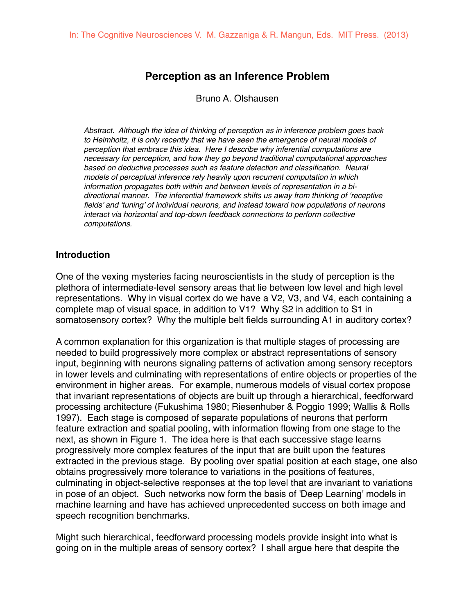# **Perception as an Inference Problem**

Bruno A. Olshausen

*Abstract. Although the idea of thinking of perception as in inference problem goes back*  to Helmholtz, it is only recently that we have seen the emergence of neural models of *perception that embrace this idea. Here I describe why inferential computations are necessary for perception, and how they go beyond traditional computational approaches*  based on deductive processes such as feature detection and classification. Neural *models of perceptual inference rely heavily upon recurrent computation in which information propagates both within and between levels of representation in a bidirectional manner. The inferential framework shifts us away from thinking of 'receptive fields' and 'tuning' of individual neurons, and instead toward how populations of neurons interact via horizontal and top-down feedback connections to perform collective computations.* 

#### **Introduction**

One of the vexing mysteries facing neuroscientists in the study of perception is the plethora of intermediate-level sensory areas that lie between low level and high level representations. Why in visual cortex do we have a V2, V3, and V4, each containing a complete map of visual space, in addition to V1? Why S2 in addition to S1 in somatosensory cortex? Why the multiple belt fields surrounding A1 in auditory cortex?

A common explanation for this organization is that multiple stages of processing are needed to build progressively more complex or abstract representations of sensory input, beginning with neurons signaling patterns of activation among sensory receptors in lower levels and culminating with representations of entire objects or properties of the environment in higher areas. For example, numerous models of visual cortex propose that invariant representations of objects are built up through a hierarchical, feedforward processing architecture (Fukushima 1980; Riesenhuber & Poggio 1999; Wallis & Rolls 1997). Each stage is composed of separate populations of neurons that perform feature extraction and spatial pooling, with information flowing from one stage to the next, as shown in Figure 1. The idea here is that each successive stage learns progressively more complex features of the input that are built upon the features extracted in the previous stage. By pooling over spatial position at each stage, one also obtains progressively more tolerance to variations in the positions of features, culminating in object-selective responses at the top level that are invariant to variations in pose of an object. Such networks now form the basis of 'Deep Learning' models in machine learning and have has achieved unprecedented success on both image and speech recognition benchmarks.

Might such hierarchical, feedforward processing models provide insight into what is going on in the multiple areas of sensory cortex? I shall argue here that despite the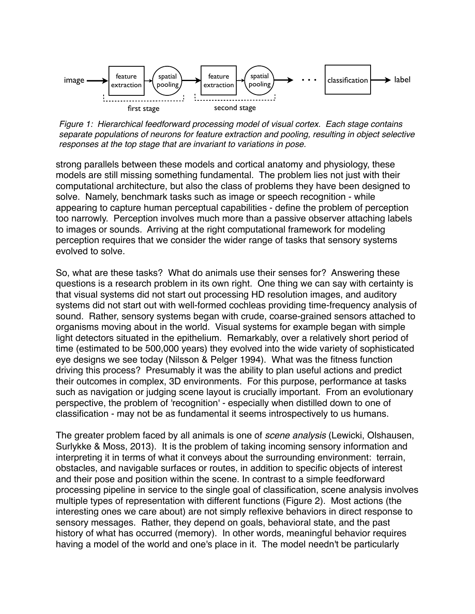

*Figure 1: Hierarchical feedforward processing model of visual cortex. Each stage contains separate populations of neurons for feature extraction and pooling, resulting in object selective responses at the top stage that are invariant to variations in pose.*

strong parallels between these models and cortical anatomy and physiology, these models are still missing something fundamental. The problem lies not just with their computational architecture, but also the class of problems they have been designed to solve. Namely, benchmark tasks such as image or speech recognition - while appearing to capture human perceptual capabilities - define the problem of perception too narrowly. Perception involves much more than a passive observer attaching labels to images or sounds. Arriving at the right computational framework for modeling perception requires that we consider the wider range of tasks that sensory systems evolved to solve.

So, what are these tasks? What do animals use their senses for? Answering these questions is a research problem in its own right. One thing we can say with certainty is that visual systems did not start out processing HD resolution images, and auditory systems did not start out with well-formed cochleas providing time-frequency analysis of sound. Rather, sensory systems began with crude, coarse-grained sensors attached to organisms moving about in the world. Visual systems for example began with simple light detectors situated in the epithelium. Remarkably, over a relatively short period of time (estimated to be 500,000 years) they evolved into the wide variety of sophisticated eye designs we see today (Nilsson & Pelger 1994). What was the fitness function driving this process? Presumably it was the ability to plan useful actions and predict their outcomes in complex, 3D environments. For this purpose, performance at tasks such as navigation or judging scene layout is crucially important. From an evolutionary perspective, the problem of 'recognition' - especially when distilled down to one of classification - may not be as fundamental it seems introspectively to us humans.

The greater problem faced by all animals is one of *scene analysis* (Lewicki, Olshausen, Surlykke & Moss, 2013). It is the problem of taking incoming sensory information and interpreting it in terms of what it conveys about the surrounding environment: terrain, obstacles, and navigable surfaces or routes, in addition to specific objects of interest and their pose and position within the scene. In contrast to a simple feedforward processing pipeline in service to the single goal of classification, scene analysis involves multiple types of representation with different functions (Figure 2). Most actions (the interesting ones we care about) are not simply reflexive behaviors in direct response to sensory messages. Rather, they depend on goals, behavioral state, and the past history of what has occurred (memory). In other words, meaningful behavior requires having a model of the world and one's place in it. The model needn't be particularly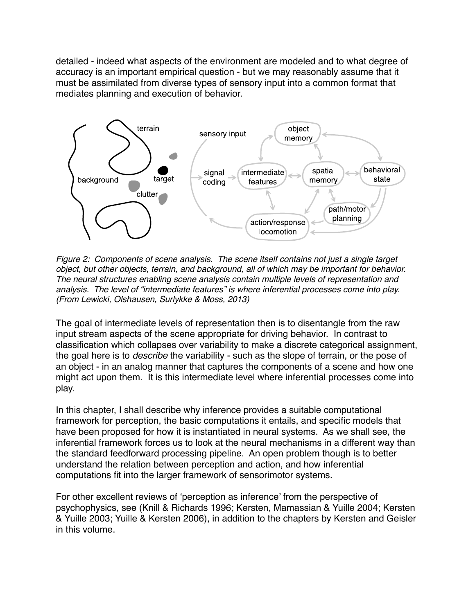detailed - indeed what aspects of the environment are modeled and to what degree of accuracy is an important empirical question - but we may reasonably assume that it must be assimilated from diverse types of sensory input into a common format that mediates planning and execution of behavior.



*Figure 2: Components of scene analysis. The scene itself contains not just a single target object, but other objects, terrain, and background, all of which may be important for behavior. The neural structures enabling scene analysis contain multiple levels of representation and analysis. The level of "intermediate features" is where inferential processes come into play. (From Lewicki, Olshausen, Surlykke & Moss, 2013)*

The goal of intermediate levels of representation then is to disentangle from the raw input stream aspects of the scene appropriate for driving behavior. In contrast to classification which collapses over variability to make a discrete categorical assignment, the goal here is to *describe* the variability - such as the slope of terrain, or the pose of an object - in an analog manner that captures the components of a scene and how one might act upon them. It is this intermediate level where inferential processes come into play.

In this chapter, I shall describe why inference provides a suitable computational framework for perception, the basic computations it entails, and specific models that have been proposed for how it is instantiated in neural systems. As we shall see, the inferential framework forces us to look at the neural mechanisms in a different way than the standard feedforward processing pipeline. An open problem though is to better understand the relation between perception and action, and how inferential computations fit into the larger framework of sensorimotor systems.

For other excellent reviews of 'perception as inference' from the perspective of psychophysics, see (Knill & Richards 1996; Kersten, Mamassian & Yuille 2004; Kersten & Yuille 2003; Yuille & Kersten 2006), in addition to the chapters by Kersten and Geisler in this volume.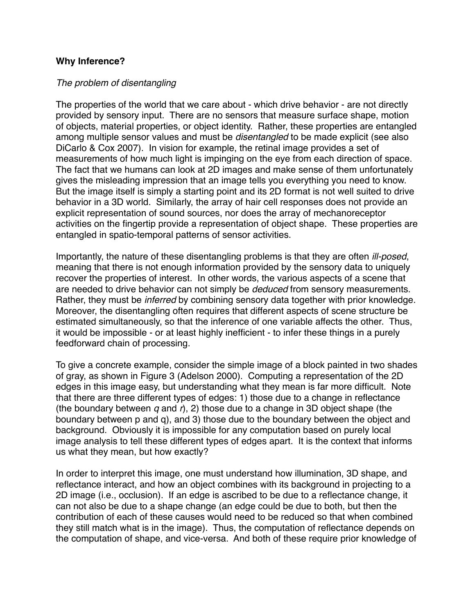#### **Why Inference?**

#### *The problem of disentangling*

The properties of the world that we care about - which drive behavior - are not directly provided by sensory input. There are no sensors that measure surface shape, motion of objects, material properties, or object identity. Rather, these properties are entangled among multiple sensor values and must be *disentangled* to be made explicit (see also DiCarlo & Cox 2007). In vision for example, the retinal image provides a set of measurements of how much light is impinging on the eye from each direction of space. The fact that we humans can look at 2D images and make sense of them unfortunately gives the misleading impression that an image tells you everything you need to know. But the image itself is simply a starting point and its 2D format is not well suited to drive behavior in a 3D world. Similarly, the array of hair cell responses does not provide an explicit representation of sound sources, nor does the array of mechanoreceptor activities on the fingertip provide a representation of object shape. These properties are entangled in spatio-temporal patterns of sensor activities.

Importantly, the nature of these disentangling problems is that they are often *ill-posed*, meaning that there is not enough information provided by the sensory data to uniquely recover the properties of interest. In other words, the various aspects of a scene that are needed to drive behavior can not simply be *deduced* from sensory measurements. Rather, they must be *inferred* by combining sensory data together with prior knowledge. Moreover, the disentangling often requires that different aspects of scene structure be estimated simultaneously, so that the inference of one variable affects the other. Thus, it would be impossible - or at least highly inefficient - to infer these things in a purely feedforward chain of processing.

To give a concrete example, consider the simple image of a block painted in two shades of gray, as shown in Figure 3 (Adelson 2000). Computing a representation of the 2D edges in this image easy, but understanding what they mean is far more difficult. Note that there are three different types of edges: 1) those due to a change in reflectance (the boundary between *q* and *r*), 2) those due to a change in 3D object shape (the boundary between p and q), and 3) those due to the boundary between the object and background. Obviously it is impossible for any computation based on purely local image analysis to tell these different types of edges apart. It is the context that informs us what they mean, but how exactly?

In order to interpret this image, one must understand how illumination, 3D shape, and reflectance interact, and how an object combines with its background in projecting to a 2D image (i.e., occlusion). If an edge is ascribed to be due to a reflectance change, it can not also be due to a shape change (an edge could be due to both, but then the contribution of each of these causes would need to be reduced so that when combined they still match what is in the image). Thus, the computation of reflectance depends on the computation of shape, and vice-versa. And both of these require prior knowledge of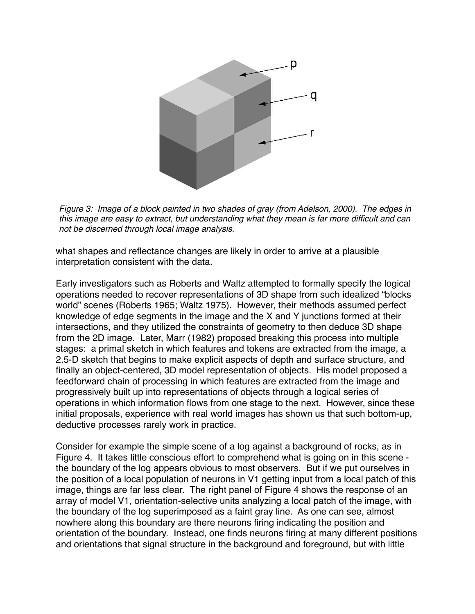

*Figure 3: Image of a block painted in two shades of gray (from Adelson, 2000). The edges in this image are easy to extract, but understanding what they mean is far more difficult and can not be discerned through local image analysis.* 

what shapes and reflectance changes are likely in order to arrive at a plausible interpretation consistent with the data.

Early investigators such as Roberts and Waltz attempted to formally specify the logical operations needed to recover representations of 3D shape from such idealized "blocks world" scenes (Roberts 1965; Waltz 1975). However, their methods assumed perfect knowledge of edge segments in the image and the X and Y junctions formed at their intersections, and they utilized the constraints of geometry to then deduce 3D shape from the 2D image. Later, Marr (1982) proposed breaking this process into multiple stages: a primal sketch in which features and tokens are extracted from the image, a 2.5-D sketch that begins to make explicit aspects of depth and surface structure, and finally an object-centered, 3D model representation of objects. His model proposed a feedforward chain of processing in which features are extracted from the image and progressively built up into representations of objects through a logical series of operations in which information flows from one stage to the next. However, since these initial proposals, experience with real world images has shown us that such bottom-up, deductive processes rarely work in practice.

Consider for example the simple scene of a log against a background of rocks, as in Figure 4. It takes little conscious effort to comprehend what is going on in this scene the boundary of the log appears obvious to most observers. But if we put ourselves in the position of a local population of neurons in V1 getting input from a local patch of this image, things are far less clear. The right panel of Figure 4 shows the response of an array of model V1, orientation-selective units analyzing a local patch of the image, with the boundary of the log superimposed as a faint gray line. As one can see, almost nowhere along this boundary are there neurons firing indicating the position and orientation of the boundary. Instead, one finds neurons firing at many different positions and orientations that signal structure in the background and foreground, but with little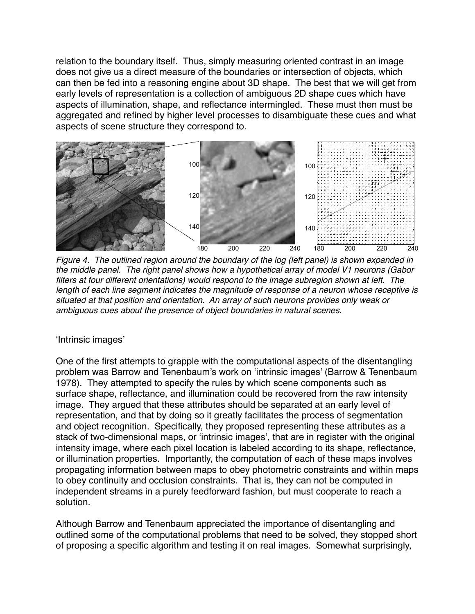relation to the boundary itself. Thus, simply measuring oriented contrast in an image does not give us a direct measure of the boundaries or intersection of objects, which can then be fed into a reasoning engine about 3D shape. The best that we will get from early levels of representation is a collection of ambiguous 2D shape cues which have aspects of illumination, shape, and reflectance intermingled. These must then must be aggregated and refined by higher level processes to disambiguate these cues and what aspects of scene structure they correspond to.



*Figure 4. The outlined region around the boundary of the log (left panel) is shown expanded in the middle panel. The right panel shows how a hypothetical array of model V1 neurons (Gabor filters at four different orientations) would respond to the image subregion shown at left. The length of each line segment indicates the magnitude of response of a neuron whose receptive is situated at that position and orientation. An array of such neurons provides only weak or ambiguous cues about the presence of object boundaries in natural scenes.*

## 'Intrinsic images'

One of the first attempts to grapple with the computational aspects of the disentangling problem was Barrow and Tenenbaum's work on 'intrinsic images' (Barrow & Tenenbaum 1978). They attempted to specify the rules by which scene components such as surface shape, reflectance, and illumination could be recovered from the raw intensity image. They argued that these attributes should be separated at an early level of representation, and that by doing so it greatly facilitates the process of segmentation and object recognition. Specifically, they proposed representing these attributes as a stack of two-dimensional maps, or 'intrinsic images', that are in register with the original intensity image, where each pixel location is labeled according to its shape, reflectance, or illumination properties. Importantly, the computation of each of these maps involves propagating information between maps to obey photometric constraints and within maps to obey continuity and occlusion constraints. That is, they can not be computed in independent streams in a purely feedforward fashion, but must cooperate to reach a solution.

Although Barrow and Tenenbaum appreciated the importance of disentangling and outlined some of the computational problems that need to be solved, they stopped short of proposing a specific algorithm and testing it on real images. Somewhat surprisingly,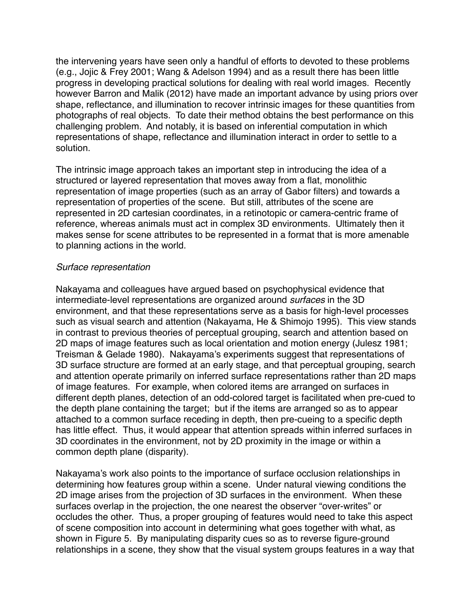the intervening years have seen only a handful of efforts to devoted to these problems (e.g., Jojic & Frey 2001; Wang & Adelson 1994) and as a result there has been little progress in developing practical solutions for dealing with real world images. Recently however Barron and Malik (2012) have made an important advance by using priors over shape, reflectance, and illumination to recover intrinsic images for these quantities from photographs of real objects. To date their method obtains the best performance on this challenging problem. And notably, it is based on inferential computation in which representations of shape, reflectance and illumination interact in order to settle to a solution.

The intrinsic image approach takes an important step in introducing the idea of a structured or layered representation that moves away from a flat, monolithic representation of image properties (such as an array of Gabor filters) and towards a representation of properties of the scene. But still, attributes of the scene are represented in 2D cartesian coordinates, in a retinotopic or camera-centric frame of reference, whereas animals must act in complex 3D environments. Ultimately then it makes sense for scene attributes to be represented in a format that is more amenable to planning actions in the world.

#### *Surface representation*

Nakayama and colleagues have argued based on psychophysical evidence that intermediate-level representations are organized around *surfaces* in the 3D environment, and that these representations serve as a basis for high-level processes such as visual search and attention (Nakayama, He & Shimojo 1995). This view stands in contrast to previous theories of perceptual grouping, search and attention based on 2D maps of image features such as local orientation and motion energy (Julesz 1981; Treisman & Gelade 1980). Nakayama's experiments suggest that representations of 3D surface structure are formed at an early stage, and that perceptual grouping, search and attention operate primarily on inferred surface representations rather than 2D maps of image features. For example, when colored items are arranged on surfaces in different depth planes, detection of an odd-colored target is facilitated when pre-cued to the depth plane containing the target; but if the items are arranged so as to appear attached to a common surface receding in depth, then pre-cueing to a specific depth has little effect. Thus, it would appear that attention spreads within inferred surfaces in 3D coordinates in the environment, not by 2D proximity in the image or within a common depth plane (disparity).

Nakayama's work also points to the importance of surface occlusion relationships in determining how features group within a scene. Under natural viewing conditions the 2D image arises from the projection of 3D surfaces in the environment. When these surfaces overlap in the projection, the one nearest the observer "over-writes" or occludes the other. Thus, a proper grouping of features would need to take this aspect of scene composition into account in determining what goes together with what, as shown in Figure 5. By manipulating disparity cues so as to reverse figure-ground relationships in a scene, they show that the visual system groups features in a way that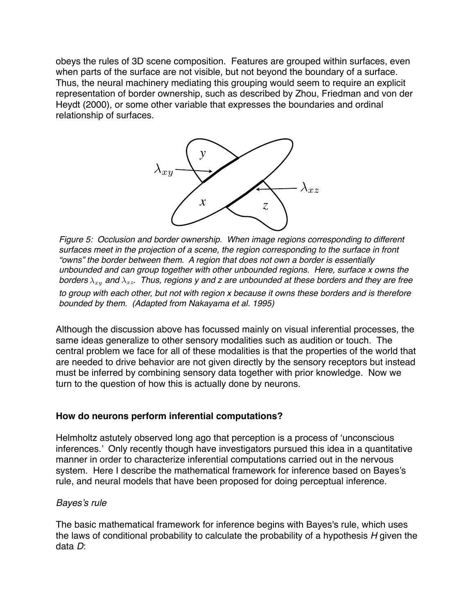obeys the rules of 3D scene composition. Features are grouped within surfaces, even when parts of the surface are not visible, but not beyond the boundary of a surface. Thus, the neural machinery mediating this grouping would seem to require an explicit representation of border ownership, such as described by Zhou, Friedman and von der Heydt (2000), or some other variable that expresses the boundaries and ordinal relationship of surfaces.



*Figure 5: Occlusion and border ownership. When image regions corresponding to different surfaces meet in the projection of a scene, the region corresponding to the surface in front "owns" the border between them. A region that does not own a border is essentially unbounded and can group together with other unbounded regions. Here, surface x owns the borders*  $\lambda_{xy}$  and  $\lambda_{xz}$ . Thus, regions y and z are unbounded at these borders and they are free *to group with each other, but not with region x because it owns these borders and is therefore bounded by them. (Adapted from Nakayama et al. 1995)*

Although the discussion above has focussed mainly on visual inferential processes, the same ideas generalize to other sensory modalities such as audition or touch. The central problem we face for all of these modalities is that the properties of the world that are needed to drive behavior are not given directly by the sensory receptors but instead must be inferred by combining sensory data together with prior knowledge. Now we turn to the question of how this is actually done by neurons.

## **How do neurons perform inferential computations?**

Helmholtz astutely observed long ago that perception is a process of 'unconscious inferences.' Only recently though have investigators pursued this idea in a quantitative manner in order to characterize inferential computations carried out in the nervous system. Here I describe the mathematical framework for inference based on Bayes's rule, and neural models that have been proposed for doing perceptual inference.

## *Bayes's rule*

The basic mathematical framework for inference begins with Bayes's rule, which uses the laws of conditional probability to calculate the probability of a hypothesis *H* given the data *D*: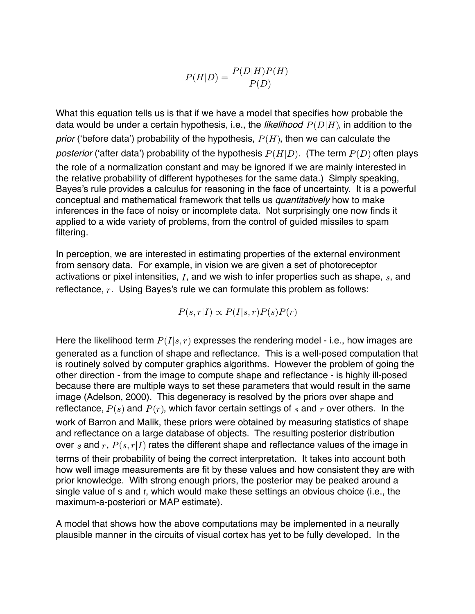$$
P(H|D) = \frac{P(D|H)P(H)}{P(D)}
$$

What this equation tells us is that if we have a model that specifies how probable the data would be under a certain hypothesis, i.e., the *likelihood*  $P(D|H)$ , in addition to the *prior* ('before data') probability of the hypothesis,  $P(H)$ , then we can calculate the *posterior* ('after data') probability of the hypothesis  $P(H|D)$ . (The term  $P(D)$  often plays the role of a normalization constant and may be ignored if we are mainly interested in the relative probability of different hypotheses for the same data.) Simply speaking, Bayes's rule provides a calculus for reasoning in the face of uncertainty. It is a powerful conceptual and mathematical framework that tells us *quantitatively* how to make inferences in the face of noisy or incomplete data. Not surprisingly one now finds it applied to a wide variety of problems, from the control of guided missiles to spam filtering.

In perception, we are interested in estimating properties of the external environment from sensory data. For example, in vision we are given a set of photoreceptor activations or pixel intensities,  $I$ , and we wish to infer properties such as shape,  $s$ , and reflectance,  $r$ . Using Bayes's rule we can formulate this problem as follows:

 $P(s,r|I) \propto P(I|s,r)P(s)P(r)$ 

Here the likelihood term  $P(I|s,r)$  expresses the rendering model - i.e., how images are generated as a function of shape and reflectance. This is a well-posed computation that is routinely solved by computer graphics algorithms. However the problem of going the other direction - from the image to compute shape and reflectance - is highly ill-posed because there are multiple ways to set these parameters that would result in the same image (Adelson, 2000). This degeneracy is resolved by the priors over shape and reflectance,  $P(s)$  and  $P(r)$ , which favor certain settings of s and r over others. In the work of Barron and Malik, these priors were obtained by measuring statistics of shape and reflectance on a large database of objects. The resulting posterior distribution over s and r,  $P(s, r|I)$  rates the different shape and reflectance values of the image in terms of their probability of being the correct interpretation. It takes into account both how well image measurements are fit by these values and how consistent they are with prior knowledge. With strong enough priors, the posterior may be peaked around a single value of s and r, which would make these settings an obvious choice (i.e., the maximum-a-posteriori or MAP estimate).

A model that shows how the above computations may be implemented in a neurally plausible manner in the circuits of visual cortex has yet to be fully developed. In the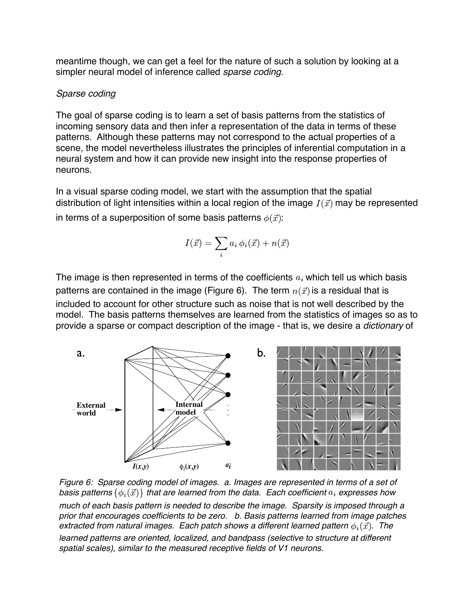meantime though, we can get a feel for the nature of such a solution by looking at a simpler neural model of inference called *sparse coding*.

# *Sparse coding*

The goal of sparse coding is to learn a set of basis patterns from the statistics of incoming sensory data and then infer a representation of the data in terms of these patterns. Although these patterns may not correspond to the actual properties of a scene, the model nevertheless illustrates the principles of inferential computation in a neural system and how it can provide new insight into the response properties of neurons.

In a visual sparse coding model, we start with the assumption that the spatial distribution of light intensities within a local region of the image  $I(\vec{x})$  may be represented in terms of a superposition of some basis patterns  $\phi(\vec{x})$ :

$$
I(\vec{x}) = \sum_{i} a_i \phi_i(\vec{x}) + n(\vec{x})
$$

The image is then represented in terms of the coefficients  $a_i$  which tell us which basis patterns are contained in the image (Figure 6). The term  $n(\vec{x})$  is a residual that is included to account for other structure such as noise that is not well described by the model. The basis patterns themselves are learned from the statistics of images so as to provide a sparse or compact description of the image - that is, we desire a *dictionary* of



*Figure 6: Sparse coding model of images. a. Images are represented in terms of a set of basis patterns*  $\{\phi_i(\vec{x})\}$  that are learned from the data. Each coefficient  $a_i$  expresses how *much of each basis pattern is needed to describe the image. Sparsity is imposed through a prior that encourages coefficients to be zero. b. Basis patterns learned from image patches extracted from natural images. Each patch shows a different learned pattern*  $\phi_i(\vec{x})$ *. The* 

*learned patterns are oriented, localized, and bandpass (selective to structure at different spatial scales), similar to the measured receptive fields of V1 neurons.*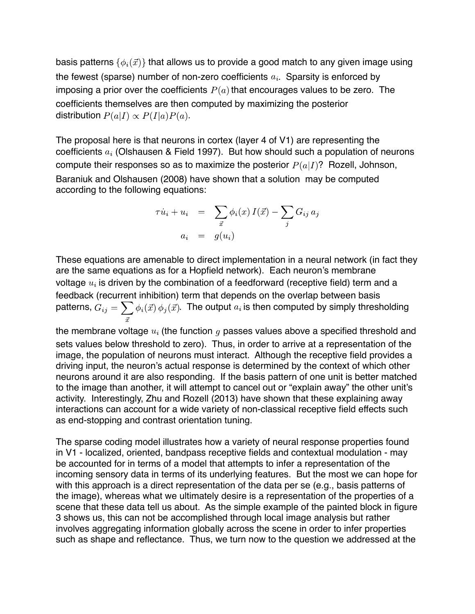basis patterns  $\{\phi_i(\vec{x})\}$  that allows us to provide a good match to any given image using the fewest (sparse) number of non-zero coefficients  $a_i$ . Sparsity is enforced by imposing a prior over the coefficients  $P(a)$  that encourages values to be zero. The coefficients themselves are then computed by maximizing the posterior distribution  $P(a|I) \propto P(I|a)P(a)$ .

The proposal here is that neurons in cortex (layer 4 of V1) are representing the coefficients  $a_i$  (Olshausen & Field 1997). But how should such a population of neurons compute their responses so as to maximize the posterior  $P(a|I)$ ? Rozell, Johnson, Baraniuk and Olshausen (2008) have shown that a solution may be computed according to the following equations:

$$
\tau \dot{u}_i + u_i = \sum_{\vec{x}} \phi_i(x) I(\vec{x}) - \sum_j G_{ij} a_j
$$

$$
a_i = g(u_i)
$$

These equations are amenable to direct implementation in a neural network (in fact they are the same equations as for a Hopfield network). Each neuron's membrane voltage  $u_i$  is driven by the combination of a feedforward (receptive field) term and a feedback (recurrent inhibition) term that depends on the overlap between basis patterns,  $G_{ij} = \sum_i \phi_i(\vec{x}) \phi_j(\vec{x})$ . The output  $a_i$  is then computed by simply thresholding

the membrane voltage  $u_i$  (the function g passes values above a specified threshold and sets values below threshold to zero). Thus, in order to arrive at a representation of the image, the population of neurons must interact. Although the receptive field provides a driving input, the neuron's actual response is determined by the context of which other neurons around it are also responding. If the basis pattern of one unit is better matched to the image than another, it will attempt to cancel out or "explain away" the other unit's activity. Interestingly, Zhu and Rozell (2013) have shown that these explaining away interactions can account for a wide variety of non-classical receptive field effects such as end-stopping and contrast orientation tuning.

The sparse coding model illustrates how a variety of neural response properties found in V1 - localized, oriented, bandpass receptive fields and contextual modulation - may be accounted for in terms of a model that attempts to infer a representation of the incoming sensory data in terms of its underlying features. But the most we can hope for with this approach is a direct representation of the data per se (e.g., basis patterns of the image), whereas what we ultimately desire is a representation of the properties of a scene that these data tell us about. As the simple example of the painted block in figure 3 shows us, this can not be accomplished through local image analysis but rather involves aggregating information globally across the scene in order to infer properties such as shape and reflectance. Thus, we turn now to the question we addressed at the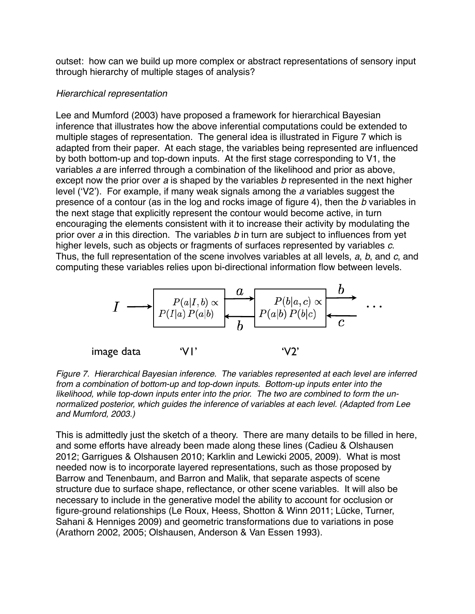outset: how can we build up more complex or abstract representations of sensory input through hierarchy of multiple stages of analysis?

## *Hierarchical representation*

Lee and Mumford (2003) have proposed a framework for hierarchical Bayesian inference that illustrates how the above inferential computations could be extended to multiple stages of representation. The general idea is illustrated in Figure 7 which is adapted from their paper. At each stage, the variables being represented are influenced by both bottom-up and top-down inputs. At the first stage corresponding to V1, the variables *a* are inferred through a combination of the likelihood and prior as above, except now the prior over *a* is shaped by the variables *b* represented in the next higher level ('V2'). For example, if many weak signals among the *a* variables suggest the presence of a contour (as in the log and rocks image of figure 4), then the *b* variables in the next stage that explicitly represent the contour would become active, in turn encouraging the elements consistent with it to increase their activity by modulating the prior over *a* in this direction. The variables *b* in turn are subject to influences from yet higher levels, such as objects or fragments of surfaces represented by variables *c*. Thus, the full representation of the scene involves variables at all levels, *a*, *b*, and *c*, and computing these variables relies upon bi-directional information flow between levels.



*Figure 7. Hierarchical Bayesian inference. The variables represented at each level are inferred from a combination of bottom-up and top-down inputs. Bottom-up inputs enter into the likelihood, while top-down inputs enter into the prior. The two are combined to form the unnormalized posterior, which guides the inference of variables at each level. (Adapted from Lee and Mumford, 2003.)*

This is admittedly just the sketch of a theory. There are many details to be filled in here, and some efforts have already been made along these lines (Cadieu & Olshausen 2012; Garrigues & Olshausen 2010; Karklin and Lewicki 2005, 2009). What is most needed now is to incorporate layered representations, such as those proposed by Barrow and Tenenbaum, and Barron and Malik, that separate aspects of scene structure due to surface shape, reflectance, or other scene variables. It will also be necessary to include in the generative model the ability to account for occlusion or figure-ground relationships (Le Roux, Heess, Shotton & Winn 2011; Lücke, Turner, Sahani & Henniges 2009) and geometric transformations due to variations in pose (Arathorn 2002, 2005; Olshausen, Anderson & Van Essen 1993).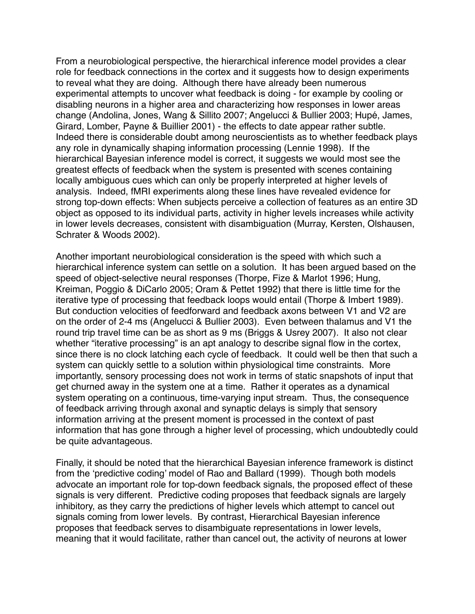From a neurobiological perspective, the hierarchical inference model provides a clear role for feedback connections in the cortex and it suggests how to design experiments to reveal what they are doing. Although there have already been numerous experimental attempts to uncover what feedback is doing - for example by cooling or disabling neurons in a higher area and characterizing how responses in lower areas change (Andolina, Jones, Wang & Sillito 2007; Angelucci & Bullier 2003; Hupé, James, Girard, Lomber, Payne & Buillier 2001) - the effects to date appear rather subtle. Indeed there is considerable doubt among neuroscientists as to whether feedback plays any role in dynamically shaping information processing (Lennie 1998). If the hierarchical Bayesian inference model is correct, it suggests we would most see the greatest effects of feedback when the system is presented with scenes containing locally ambiguous cues which can only be properly interpreted at higher levels of analysis. Indeed, fMRI experiments along these lines have revealed evidence for strong top-down effects: When subjects perceive a collection of features as an entire 3D object as opposed to its individual parts, activity in higher levels increases while activity in lower levels decreases, consistent with disambiguation (Murray, Kersten, Olshausen, Schrater & Woods 2002).

Another important neurobiological consideration is the speed with which such a hierarchical inference system can settle on a solution. It has been argued based on the speed of object-selective neural responses (Thorpe, Fize & Marlot 1996; Hung, Kreiman, Poggio & DiCarlo 2005; Oram & Pettet 1992) that there is little time for the iterative type of processing that feedback loops would entail (Thorpe & Imbert 1989). But conduction velocities of feedforward and feedback axons between V1 and V2 are on the order of 2-4 ms (Angelucci & Bullier 2003). Even between thalamus and V1 the round trip travel time can be as short as 9 ms (Briggs & Usrey 2007). It also not clear whether "iterative processing" is an apt analogy to describe signal flow in the cortex, since there is no clock latching each cycle of feedback. It could well be then that such a system can quickly settle to a solution within physiological time constraints. More importantly, sensory processing does not work in terms of static snapshots of input that get churned away in the system one at a time. Rather it operates as a dynamical system operating on a continuous, time-varying input stream. Thus, the consequence of feedback arriving through axonal and synaptic delays is simply that sensory information arriving at the present moment is processed in the context of past information that has gone through a higher level of processing, which undoubtedly could be quite advantageous.

Finally, it should be noted that the hierarchical Bayesian inference framework is distinct from the 'predictive coding' model of Rao and Ballard (1999). Though both models advocate an important role for top-down feedback signals, the proposed effect of these signals is very different. Predictive coding proposes that feedback signals are largely inhibitory, as they carry the predictions of higher levels which attempt to cancel out signals coming from lower levels. By contrast, Hierarchical Bayesian inference proposes that feedback serves to disambiguate representations in lower levels, meaning that it would facilitate, rather than cancel out, the activity of neurons at lower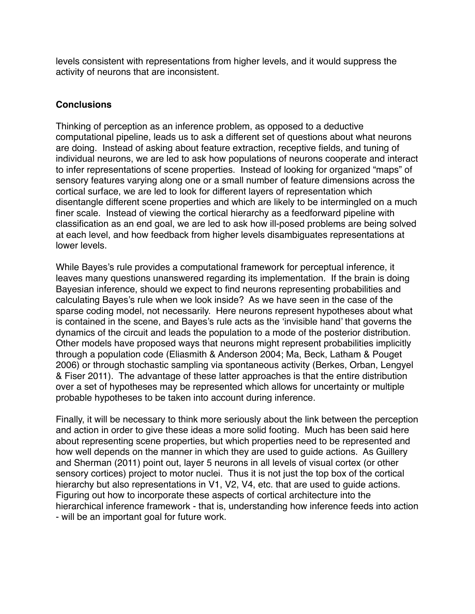levels consistent with representations from higher levels, and it would suppress the activity of neurons that are inconsistent.

# **Conclusions**

Thinking of perception as an inference problem, as opposed to a deductive computational pipeline, leads us to ask a different set of questions about what neurons are doing. Instead of asking about feature extraction, receptive fields, and tuning of individual neurons, we are led to ask how populations of neurons cooperate and interact to infer representations of scene properties. Instead of looking for organized "maps" of sensory features varying along one or a small number of feature dimensions across the cortical surface, we are led to look for different layers of representation which disentangle different scene properties and which are likely to be intermingled on a much finer scale. Instead of viewing the cortical hierarchy as a feedforward pipeline with classification as an end goal, we are led to ask how ill-posed problems are being solved at each level, and how feedback from higher levels disambiguates representations at lower levels.

While Bayes's rule provides a computational framework for perceptual inference, it leaves many questions unanswered regarding its implementation. If the brain is doing Bayesian inference, should we expect to find neurons representing probabilities and calculating Bayes's rule when we look inside? As we have seen in the case of the sparse coding model, not necessarily. Here neurons represent hypotheses about what is contained in the scene, and Bayes's rule acts as the 'invisible hand' that governs the dynamics of the circuit and leads the population to a mode of the posterior distribution. Other models have proposed ways that neurons might represent probabilities implicitly through a population code (Eliasmith & Anderson 2004; Ma, Beck, Latham & Pouget 2006) or through stochastic sampling via spontaneous activity (Berkes, Orban, Lengyel & Fiser 2011). The advantage of these latter approaches is that the entire distribution over a set of hypotheses may be represented which allows for uncertainty or multiple probable hypotheses to be taken into account during inference.

Finally, it will be necessary to think more seriously about the link between the perception and action in order to give these ideas a more solid footing. Much has been said here about representing scene properties, but which properties need to be represented and how well depends on the manner in which they are used to guide actions. As Guillery and Sherman (2011) point out, layer 5 neurons in all levels of visual cortex (or other sensory cortices) project to motor nuclei. Thus it is not just the top box of the cortical hierarchy but also representations in V1, V2, V4, etc. that are used to guide actions. Figuring out how to incorporate these aspects of cortical architecture into the hierarchical inference framework - that is, understanding how inference feeds into action - will be an important goal for future work.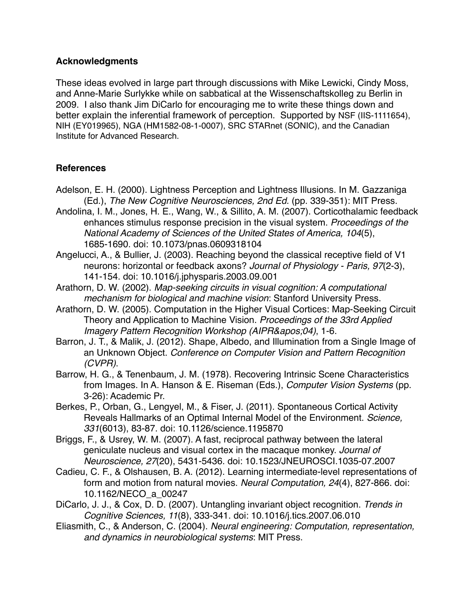## **Acknowledgments**

These ideas evolved in large part through discussions with Mike Lewicki, Cindy Moss, and Anne-Marie Surlykke while on sabbatical at the Wissenschaftskolleg zu Berlin in 2009. I also thank Jim DiCarlo for encouraging me to write these things down and better explain the inferential framework of perception. Supported by NSF (IIS-1111654), NIH (EY019965), NGA (HM1582-08-1-0007), SRC STARnet (SONIC), and the Canadian Institute for Advanced Research.

# **References**

- Adelson, E. H. (2000). Lightness Perception and Lightness Illusions. In M. Gazzaniga (Ed.), *The New Cognitive Neurosciences, 2nd Ed.* (pp. 339-351): MIT Press.
- Andolina, I. M., Jones, H. E., Wang, W., & Sillito, A. M. (2007). Corticothalamic feedback enhances stimulus response precision in the visual system. *Proceedings of the National Academy of Sciences of the United States of America, 104*(5), 1685-1690. doi: 10.1073/pnas.0609318104
- Angelucci, A., & Bullier, J. (2003). Reaching beyond the classical receptive field of V1 neurons: horizontal or feedback axons? *Journal of Physiology - Paris, 97*(2-3), 141-154. doi: 10.1016/j.jphysparis.2003.09.001
- Arathorn, D. W. (2002). *Map-seeking circuits in visual cognition: A computational mechanism for biological and machine vision*: Stanford University Press.
- Arathorn, D. W. (2005). Computation in the Higher Visual Cortices: Map-Seeking Circuit Theory and Application to Machine Vision. *Proceedings of the 33rd Applied Imagery Pattern Recognition Workshop (AIPR'04), 1-6.*
- Barron, J. T., & Malik, J. (2012). Shape, Albedo, and Illumination from a Single Image of an Unknown Object. *Conference on Computer Vision and Pattern Recognition (CVPR)*.
- Barrow, H. G., & Tenenbaum, J. M. (1978). Recovering Intrinsic Scene Characteristics from Images. In A. Hanson & E. Riseman (Eds.), *Computer Vision Systems* (pp. 3-26): Academic Pr.
- Berkes, P., Orban, G., Lengyel, M., & Fiser, J. (2011). Spontaneous Cortical Activity Reveals Hallmarks of an Optimal Internal Model of the Environment. *Science, 331*(6013), 83-87. doi: 10.1126/science.1195870
- Briggs, F., & Usrey, W. M. (2007). A fast, reciprocal pathway between the lateral geniculate nucleus and visual cortex in the macaque monkey. *Journal of Neuroscience, 27*(20), 5431-5436. doi: 10.1523/JNEUROSCI.1035-07.2007
- Cadieu, C. F., & Olshausen, B. A. (2012). Learning intermediate-level representations of form and motion from natural movies. *Neural Computation, 24*(4), 827-866. doi: 10.1162/NECO\_a\_00247
- DiCarlo, J. J., & Cox, D. D. (2007). Untangling invariant object recognition. *Trends in Cognitive Sciences, 11*(8), 333-341. doi: 10.1016/j.tics.2007.06.010
- Eliasmith, C., & Anderson, C. (2004). *Neural engineering: Computation, representation, and dynamics in neurobiological systems*: MIT Press.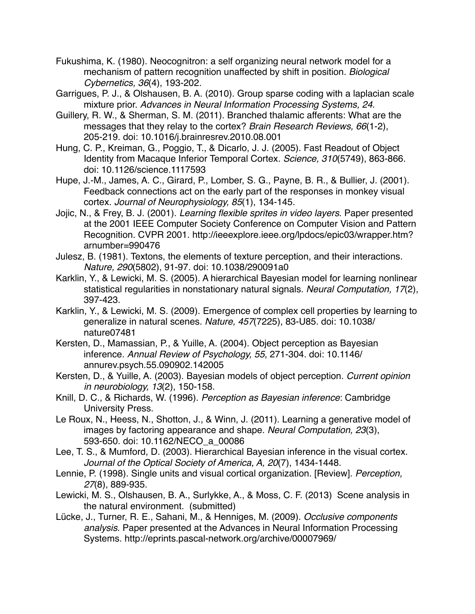- Fukushima, K. (1980). Neocognitron: a self organizing neural network model for a mechanism of pattern recognition unaffected by shift in position. *Biological Cybernetics, 36*(4), 193-202.
- Garrigues, P. J., & Olshausen, B. A. (2010). Group sparse coding with a laplacian scale mixture prior. *Advances in Neural Information Processing Systems, 24*.
- Guillery, R. W., & Sherman, S. M. (2011). Branched thalamic afferents: What are the messages that they relay to the cortex? *Brain Research Reviews, 66*(1-2), 205-219. doi: 10.1016/j.brainresrev.2010.08.001
- Hung, C. P., Kreiman, G., Poggio, T., & Dicarlo, J. J. (2005). Fast Readout of Object Identity from Macaque Inferior Temporal Cortex. *Science, 310*(5749), 863-866. doi: 10.1126/science.1117593
- Hupe, J.-M., James, A. C., Girard, P., Lomber, S. G., Payne, B. R., & Bullier, J. (2001). Feedback connections act on the early part of the responses in monkey visual cortex. *Journal of Neurophysiology, 85*(1), 134-145.
- Jojic, N., & Frey, B. J. (2001). *Learning flexible sprites in video layers*. Paper presented at the 2001 IEEE Computer Society Conference on Computer Vision and Pattern Recognition. CVPR 2001. http://ieeexplore.ieee.org/lpdocs/epic03/wrapper.htm? arnumber=990476
- Julesz, B. (1981). Textons, the elements of texture perception, and their interactions. *Nature, 290*(5802), 91-97. doi: 10.1038/290091a0
- Karklin, Y., & Lewicki, M. S. (2005). A hierarchical Bayesian model for learning nonlinear statistical regularities in nonstationary natural signals. *Neural Computation, 17*(2), 397-423.
- Karklin, Y., & Lewicki, M. S. (2009). Emergence of complex cell properties by learning to generalize in natural scenes. *Nature, 457*(7225), 83-U85. doi: 10.1038/ nature07481
- Kersten, D., Mamassian, P., & Yuille, A. (2004). Object perception as Bayesian inference. *Annual Review of Psychology, 55*, 271-304. doi: 10.1146/ annurev.psych.55.090902.142005
- Kersten, D., & Yuille, A. (2003). Bayesian models of object perception. *Current opinion in neurobiology, 13*(2), 150-158.
- Knill, D. C., & Richards, W. (1996). *Perception as Bayesian inference*: Cambridge University Press.
- Le Roux, N., Heess, N., Shotton, J., & Winn, J. (2011). Learning a generative model of images by factoring appearance and shape. *Neural Computation, 23*(3), 593-650. doi: 10.1162/NECO\_a\_00086
- Lee, T. S., & Mumford, D. (2003). Hierarchical Bayesian inference in the visual cortex. *Journal of the Optical Society of America, A, 20*(7), 1434-1448.
- Lennie, P. (1998). Single units and visual cortical organization. [Review]. *Perception, 27*(8), 889-935.
- Lewicki, M. S., Olshausen, B. A., Surlykke, A., & Moss, C. F. (2013) Scene analysis in the natural environment. (submitted)
- Lücke, J., Turner, R. E., Sahani, M., & Henniges, M. (2009). *Occlusive components analysis*. Paper presented at the Advances in Neural Information Processing Systems. http://eprints.pascal-network.org/archive/00007969/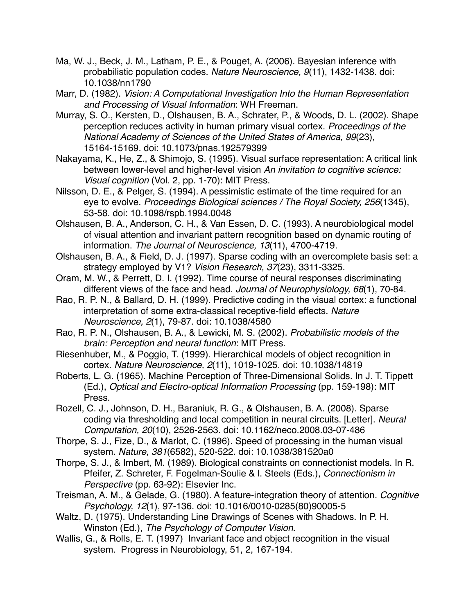- Ma, W. J., Beck, J. M., Latham, P. E., & Pouget, A. (2006). Bayesian inference with probabilistic population codes. *Nature Neuroscience, 9*(11), 1432-1438. doi: 10.1038/nn1790
- Marr, D. (1982). *Vision: A Computational Investigation Into the Human Representation and Processing of Visual Information*: WH Freeman.
- Murray, S. O., Kersten, D., Olshausen, B. A., Schrater, P., & Woods, D. L. (2002). Shape perception reduces activity in human primary visual cortex. *Proceedings of the National Academy of Sciences of the United States of America, 99*(23), 15164-15169. doi: 10.1073/pnas.192579399
- Nakayama, K., He, Z., & Shimojo, S. (1995). Visual surface representation: A critical link between lower-level and higher-level vision *An invitation to cognitive science: Visual cognition* (Vol. 2, pp. 1-70): MIT Press.
- Nilsson, D. E., & Pelger, S. (1994). A pessimistic estimate of the time required for an eye to evolve. *Proceedings Biological sciences / The Royal Society, 256*(1345), 53-58. doi: 10.1098/rspb.1994.0048
- Olshausen, B. A., Anderson, C. H., & Van Essen, D. C. (1993). A neurobiological model of visual attention and invariant pattern recognition based on dynamic routing of information. *The Journal of Neuroscience, 13*(11), 4700-4719.
- Olshausen, B. A., & Field, D. J. (1997). Sparse coding with an overcomplete basis set: a strategy employed by V1? *Vision Research, 37*(23), 3311-3325.
- Oram, M. W., & Perrett, D. I. (1992). Time course of neural responses discriminating different views of the face and head. *Journal of Neurophysiology, 68*(1), 70-84.
- Rao, R. P. N., & Ballard, D. H. (1999). Predictive coding in the visual cortex: a functional interpretation of some extra-classical receptive-field effects. *Nature Neuroscience, 2*(1), 79-87. doi: 10.1038/4580
- Rao, R. P. N., Olshausen, B. A., & Lewicki, M. S. (2002). *Probabilistic models of the brain: Perception and neural function*: MIT Press.
- Riesenhuber, M., & Poggio, T. (1999). Hierarchical models of object recognition in cortex. *Nature Neuroscience, 2*(11), 1019-1025. doi: 10.1038/14819
- Roberts, L. G. (1965). Machine Perception of Three-Dimensional Solids. In J. T. Tippett (Ed.), *Optical and Electro-optical Information Processing* (pp. 159-198): MIT Press.
- Rozell, C. J., Johnson, D. H., Baraniuk, R. G., & Olshausen, B. A. (2008). Sparse coding via thresholding and local competition in neural circuits. [Letter]. *Neural Computation, 20*(10), 2526-2563. doi: 10.1162/neco.2008.03-07-486
- Thorpe, S. J., Fize, D., & Marlot, C. (1996). Speed of processing in the human visual system. *Nature, 381*(6582), 520-522. doi: 10.1038/381520a0
- Thorpe, S. J., & Imbert, M. (1989). Biological constraints on connectionist models. In R. Pfeifer, Z. Schreter, F. Fogelman-Soulie & l. Steels (Eds.), *Connectionism in Perspective* (pp. 63-92): Elsevier Inc.
- Treisman, A. M., & Gelade, G. (1980). A feature-integration theory of attention. *Cognitive Psychology, 12*(1), 97-136. doi: 10.1016/0010-0285(80)90005-5
- Waltz, D. (1975). Understanding Line Drawings of Scenes with Shadows. In P. H. Winston (Ed.), *The Psychology of Computer Vision*.
- Wallis, G., & Rolls, E. T. (1997) Invariant face and object recognition in the visual system. Progress in Neurobiology, 51, 2, 167-194.